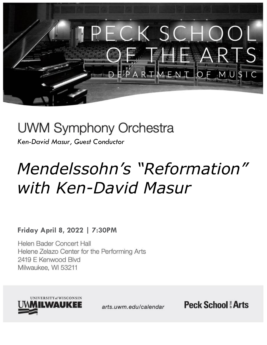

## UWM Symphony Orchestra

*Ken-David Masur, Guest Conductor*

# *Mendelssohn's "Reformation" with Ken-David Masur*

### **Friday April 8, 2022 | 7:30PM**

Helen Bader Concert Hall Helene Zelazo Center for the Performing Arts 2419 E Kenwood Blvd Milwaukee, WI 53211



arts.uwm.edu/calendar

**Peck School Arts**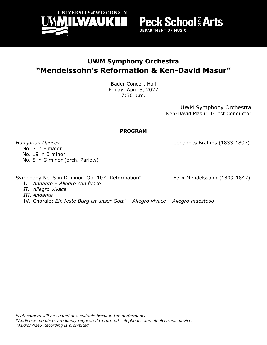

**UWM Symphony Orchestra "Mendelssohn's Reformation & Ken-David Masur"**

> Bader Concert Hall Friday, April 8, 2022 7:30 p.m.

> > UWM Symphony Orchestra Ken-David Masur, Guest Conductor

**Peck School & Arts** 

**DEPARTMENT OF MUSIC** 

#### **PROGRAM**

*Hungarian Dances* Johannes Brahms (1833-1897)

 No. 3 in F major No. 19 in B minor No. 5 in G minor (orch. Parlow)

Symphony No. 5 in D minor, Op. 107 "Reformation" Felix Mendelssohn (1809-1847)

I. *Andante* – *Allegro con fuoco*

*II. Allegro vivace*

*III. Andante*

IV. Chorale: *Ein feste Burg ist unser Gott" – Allegro vivace – Allegro maestoso*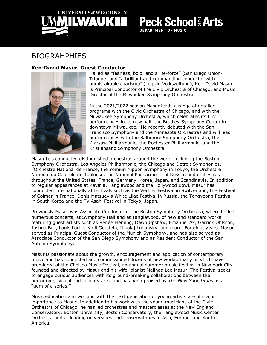

**Peck School # Arts** 

#### **DEPARTMENT OF MUSIC**

### BIOGRAHPHIES

#### **Ken-David Masur, Guest Conductor**



Hailed as "fearless, bold, and a life-force" (San Diego Union-Tribune) and "a brilliant and commanding conductor with unmistakable charisma" (Leipzig Volkszeitung), Ken-David Masur is Principal Conductor of the Civic Orchestra of Chicago, and Music Director of the Milwaukee Symphony Orchestra.

In the 2021/2022 season Masur leads a range of detailed programs with the Civic Orchestra of Chicago, and with the Milwaukee Symphony Orchestra, which celebrates its first performances in its new hall, the Bradley Symphony Center in downtown Milwaukee. He recently debuted with the San Francisco Symphony and the Minnesota Orchestras and will lead performances with the Baltimore Symphony Orchestra, the Warsaw Philharmonic, the Rochester Philharmonic, and the Kristiansand Symphony Orchestra.

Masur has conducted distinguished orchestras around the world, including the Boston Symphony Orchestra, Los Angeles Philharmonic, the Chicago and Detroit Symphonies, l'Orchestre National de France, the Yomiuri Nippon Symphony in Tokyo, the Orchestre National du Capitole de Toulouse, the National Philharmonic of Russia, and orchestras throughout the United States, France, Germany, Korea, Japan, and Scandinavia. In addition to regular appearances at Ravinia, Tanglewood and the Hollywood Bowl, Masur has conducted internationally at festivals such as the Verbier Festival in Switzerland, the Festival of Colmar in France, Denis Matsuev's White Lilac Festival in Russia, the Tongyeong Festival in South Korea and the TV Asahi Festival in Tokyo, Japan.

Previously Masur was Associate Conductor of the Boston Symphony Orchestra, where he led numerous concerts, at Symphony Hall and at Tanglewood, of new and standard works featuring guest artists such as Renée Fleming, Dawn Upshaw, Emanuel Ax, Garrick Ohlsson, Joshua Bell, Louis Lortie, Kirill Gerstein, Nikolaj Lugansky, and more. For eight years, Masur served as Principal Guest Conductor of the Munich Symphony, and has also served as Associate Conductor of the San Diego Symphony and as Resident Conductor of the San Antonio Symphony.

Masur is passionate about the growth, encouragement and application of contemporary music and has conducted and commissioned dozens of new works, many of which have premiered at the Chelsea Music Festival, an annual summer music festival in New York City founded and directed by Masur and his wife, pianist Melinda Lee Masur. The Festival seeks to engage curious audiences with its ground-breaking collaborations between the performing, visual and culinary arts, and has been praised by *The New York Times* as a "gem of a series."

Music education and working with the next generation of young artists are of major importance to Masur. In addition to his work with the young musicians of the Civic Orchestra of Chicago, he has led orchestras and masterclasses at the New England Conservatory, Boston University, Boston Conservatory, the Tanglewood Music Center Orchestra and at leading universities and conservatories in Asia, Europe, and South America.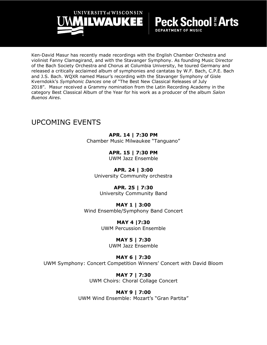

Ken-David Masur has recently made recordings with the English Chamber Orchestra and violinist Fanny Clamagirand, and with the Stavanger Symphony. As founding Music Director of the Bach Society Orchestra and Chorus at Columbia University, he toured Germany and released a critically acclaimed album of symphonies and cantatas by W.F. Bach, C.P.E. Bach and J.S. Bach. WQXR named Masur's recording with the Stavanger Symphony of Gisle Kverndokk's *Symphonic Dances* one of "The Best New Classical Releases of July 2018". Masur received a Grammy nomination from the Latin Recording Academy in the category Best Classical Album of the Year for his work as a producer of the album *Salon Buenos Aires*.

**DEPARTMENT OF MUSIC** 

### UPCOMING EVENTS

#### **APR. 14 | 7:30 PM**

Chamber Music Milwaukee "Tanguano"

#### **APR. 15 | 7:30 PM**

UWM Jazz Ensemble

**APR. 24 | 3:00** University Community orchestra

#### **APR. 25 | 7:30**

University Community Band

#### **MAY 1 | 3:00**

Wind Ensemble/Symphony Band Concert

#### **MAY 4 |7:30** UWM Percussion Ensemble

#### **MAY 5 | 7:30**

UWM Jazz Ensemble

#### **MAY 6 | 7:30**

UWM Symphony: Concert Competition Winners' Concert with David Bloom

**MAY 7 | 7:30** UWM Choirs: Choral Collage Concert

#### **MAY 9 | 7:00**

UWM Wind Ensemble: Mozart's "Gran Partita"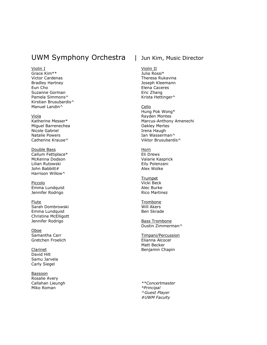#### UWM Symphony Orchestra | Jun Kim, Music Director

Violin I

Grace Kim\*\* Victor Cardenas Bradley Hartney Eun Cho Suzanne Gorman Pamela Simmons^ Kirstian Brusubardis^ Manuel Landin^

Viola Katherine Messer\* Miguel Barrenechea Nicole Gabriel Natalie Powers Catherine Krause^

Double Bass Callum Fettiplace\* McKenna Dodson Lilian Rutowski John Babbitt# Harrison Willow^

Piccolo Emma Lundquist Jennifer Rodrigo

Flute Sarah Dombrowski Emma Lundquist Christine McElligott Jennifer Rodrigo

Oboe Samantha Carr Gretchen Froelich

Clarinet David Hilt Samu Jarvela Carly Siegel

**Bassoon** Rosalie Avery Callahan Lieungh Miko Roman

Violin II Julia Rossi\* Theresa Rukavina Joseph Kleemann Elena Caceres Eric Zhang Krista Hettinger^

Cello Hung Pok Wong\* Rayden Montes Marcus-Anthony Amenechi Oakley Mertes Irena Haugh Ian Wasserman^ Viktor Brusubardis^

Horn Eli Drews Valarie Kasprick Eily Polenzani Alex Wolke

**Trumpet** Vicki Beck Alec Burke Rico Martinez

**Trombone** Will Akers Ben Skrade

Bass Trombone Dustin Zimmerman^

Timpani/Percussion Elianna Alcocer Matt Becker Benjamin Chapin

*\*\*Concertmaster \*Principal ^Guest Player #UWM Faculty*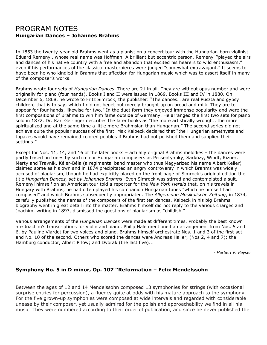#### PROGRAM NOTES **Hungarian Dances – Johannes Brahms**

In 1853 the twenty-year-old Brahms went as a pianist on a concert tour with the Hungarian-born violinist Eduard Reményi, whose real name was Hoffman. A brilliant but eccentric person, Reményi "played the airs and dances of his native country with a free and abandon that excited his hearers to wild enthusiasm," even if his performances of the classical masterpieces were judged "somewhat extravagant." It seems to have been he who kindled in Brahms that affection for Hungarian music which was to assert itself in many of the composer's works.

Brahms wrote four sets of *Hungarian Dances*. There are 21 in all. They are without opus number and were originally for piano (four hands). Books I and II were issued in 1869, Books III and IV in 1880. On December 6, 1868, he wrote to Fritz Simrock, the publisher: "The dances… are real Puszta and gypsy children; that is to say, which I did not beget but merely brought up on bread and milk. They are to appear for four hands, likewise for two." In the duet form they enjoyed immense popularity and were the first compositions of Brahms to win him fame outside of Germany. He arranged the first two sets for piano solo in 1872. Dr. Karl Geiringer describes the later books as "the more artistically wrought, the more spiritualized and at the same time a little more Brahmsian than Hungarian." The second series did not achieve quite the popular success of the first. Max Kalbeck declared that "the Hungarian amethysts and topazes would have remained colored pebbles if Brahms had not polished them and supplied their settings."

Except for Nos. 11, 14, and 16 of the later books – actually original Brahms melodies – the dances were partly based on tunes by such minor Hungarian composers as Pecsentyanky, Sarkōzy, Windt, Rizner, Merty and Travnik. Kéler-Béla (a regimental band master who thus Magyarized his name Albert Keller) claimed some as his own and in 1874 precipitated an angry controversy in which Brahms was widely accused of plagiarism, though he had explicitly placed on the front page of Simrock's original edition the title *Hungarian Dances, set by Johannes Brahms*. Even Simrock was stirred and contemplated a suit. Reményi himself on an American tour told a reporter for the *New York Herald* that, on his travels in Hungary with Brahms, he had often played his companion Hungarian tunes "which he himself had composed" and which Brahms subsequently appropriated. The *Allgemeine Musikalische Zeitung*, in 1874, carefully published the names of the composers of the first ten dances. Kalbeck in his big Brahms biography went in great detail into the matter. Brahms himself did not reply to the various charges and Joachim, writing in 1897, dismissed the questions of plagiarism as "childish."

Various arrangements of the *Hungarian Dances* were made at different times. Probably the best known are Joachim's transcriptions for violin and piano. Philip Hale mentioned an arrangement from Nos. 5 and 6, by Pauline Viardot for two voices and piano. Brahms himself orchestrate Nos. 1 and 3 of the first set and No. 10 of the second. Others who scored the dances were Andreas Haller, (Nos 2, 4 and 7); the Hamburg conductor, Albert Prlow; and Dvorak (the last five)...

*- Herbert F. Peyser*

#### **Symphony No. 5 in D minor, Op. 107 "Reformation – Felix Mendelssohn**

Between the ages of 12 and 14 Mendelssohn composed 13 symphonies for strings (with occasional surprise entries for percussion), a fluency quite at odds with his mature approach to the symphony. For the five grown-up symphonies were composed at wide intervals and regarded with considerable unease by their composer, yet usually admired for the polish and approachability we find in all his music. They were numbered according to their order of publication, and since he never published the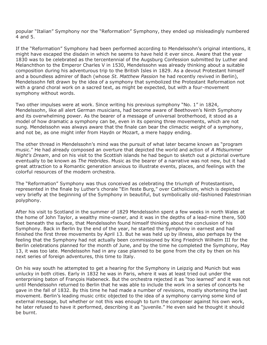popular "Italian" Symphony nor the "Reformation" Symphony, they ended up misleadingly numbered 4 and 5.

If the "Reformation" Symphony had been performed according to Mendelssohn's original intentions, it might have escaped the disdain in which he seems to have held it ever since. Aware that the year 1830 was to be celebrated as the tercentennial of the Augsburg Confession submitted by Luther and Melanchthon to the Emperor Charles V in 1530, Mendelssohn was already thinking about a suitable composition during his adventurous trip to the British Isles in 1829. As a devout Protestant himself and a boundless admirer of Bach (whose *St. Matthew Passion* he had recently revived in Berlin), Mendelssohn felt drawn by the idea of a symphony that symbolized the Protestant Reformation not with a grand choral work on a sacred text, as might be expected, but with a four-movement symphony without words.

Two other impulses were at work. Since writing his previous symphony "No. 1" in 1824, Mendelssohn, like all alert German musicians, had become aware of Beethoven's Ninth Symphony and its overwhelming power. As the bearer of a message of universal brotherhood, it stood as a model of how dramatic a symphony can be, even in its opening three movements, which are not sung. Mendelssohn was always aware that the finale can bear the climactic weight of a symphony, and not be, as one might infer from Haydn or Mozart, a mere happy ending.

The other thread in Mendelssohn's mind was the pursuit of what later became known as "program music." He had already composed an overture that depicted the world and action of *A Midsummer Night's Dream*, and on his visit to the Scottish islands he had begun to sketch out a pictorial overture eventually to be known as *The Hebrides*. Music as the bearer of a narrative was not new, but it had great attraction to a Romantic generation anxious to illustrate events, places, and feelings with the colorful resources of the modern orchestra.

The "Reformation" Symphony was thus conceived as celebrating the triumph of Protestantism, represented in the finale by Luther's chorale "Ein feste Burg," over Catholicism, which is depicted very briefly at the beginning of the Symphony in beautiful, but symbolically old-fashioned Palestrinian polyphony.

After his visit to Scotland in the summer of 1829 Mendelssohn spent a few weeks in north Wales at the home of John Taylor, a wealthy mine-owner, and it was in the depths of a lead-mine there, 500 feet beneath the surface, that Mendelssohn found himself thinking about the conclusion of his Symphony. Back in Berlin by the end of the year, he started the Symphony in earnest and had finished the first three movements by April 13. But he was held up by illness, also perhaps by the feeling that the Symphony had not actually been commissioned by King Friedrich Wilhelm III for the Berlin celebrations planned for the month of June, and by the time he completed the Symphony, May 13, it was too late. Mendelssohn had in any case planned to be gone from the city by then on his next series of foreign adventures, this time to Italy.

On his way south he attempted to get a hearing for the Symphony in Leipzig and Munich but was unlucky in both cities. Early in 1832 he was in Paris, where it was at least tried out under the enterprising baton of François Habeneck. But the orchestra rejected it as "too learned" and it was not until Mendelssohn returned to Berlin that he was able to include the work in a series of concerts he gave in the fall of 1832. By this time he had made a number of revisions, mostly shortening the last movement. Berlin's leading music critic objected to the idea of a symphony carrying some kind of external message, but whether or not this was enough to turn the composer against his own work, he later refused to have it performed, describing it as "juvenile." He even said he thought it should be burnt.